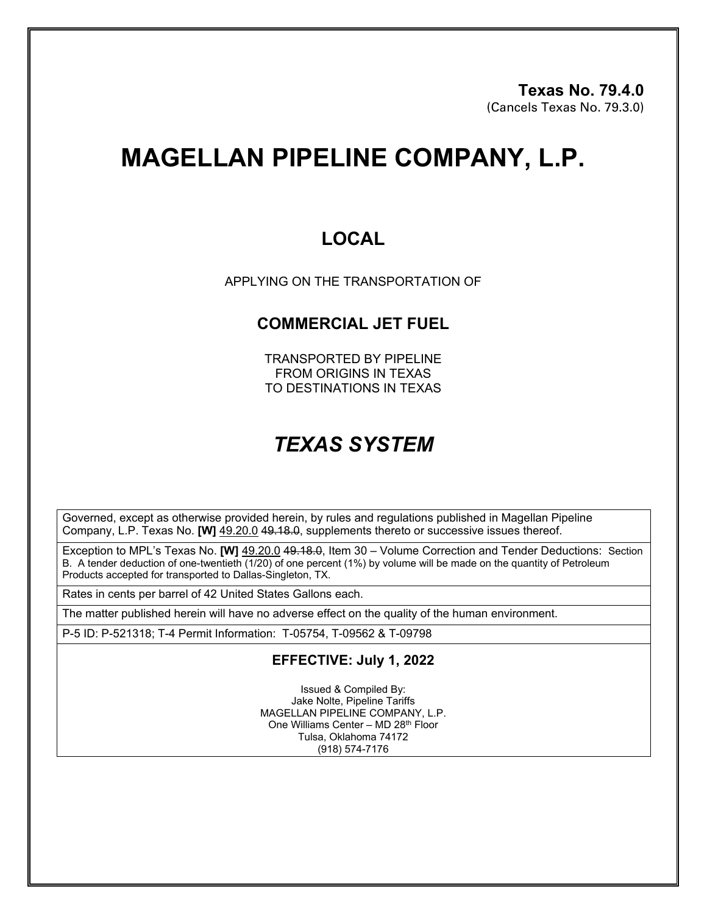# **MAGELLAN PIPELINE COMPANY, L.P.**

### **LOCAL**

APPLYING ON THE TRANSPORTATION OF

#### **COMMERCIAL JET FUEL**

TRANSPORTED BY PIPELINE FROM ORIGINS IN TEXAS TO DESTINATIONS IN TEXAS

## *TEXAS SYSTEM*

Governed, except as otherwise provided herein, by rules and regulations published in Magellan Pipeline Company, L.P. Texas No. **[W]** 49.20.0 49.18.0, supplements thereto or successive issues thereof.

Exception to MPL's Texas No. **[W]** 49.20.0 49.18.0, Item 30 – Volume Correction and Tender Deductions: Section B. A tender deduction of one-twentieth (1/20) of one percent (1%) by volume will be made on the quantity of Petroleum Products accepted for transported to Dallas-Singleton, TX.

Rates in cents per barrel of 42 United States Gallons each.

The matter published herein will have no adverse effect on the quality of the human environment.

P-5 ID: P-521318; T-4 Permit Information: T-05754, T-09562 & T-09798

#### **EFFECTIVE: July 1, 2022**

Issued & Compiled By: Jake Nolte, Pipeline Tariffs MAGELLAN PIPELINE COMPANY, L.P. One Williams Center – MD 28<sup>th</sup> Floor Tulsa, Oklahoma 74172 (918) 574-7176